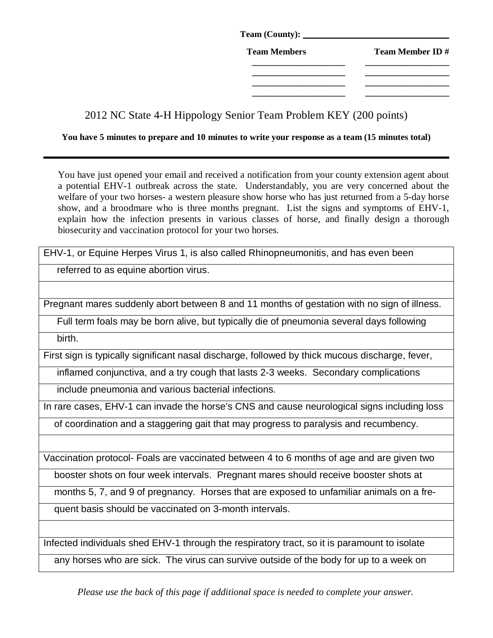| Team (County): ___  |                        |
|---------------------|------------------------|
| <b>Team Members</b> | <b>Team Member ID#</b> |
|                     |                        |
|                     |                        |
|                     |                        |

2012 NC State 4-H Hippology Senior Team Problem KEY (200 points)

**You have 5 minutes to prepare and 10 minutes to write your response as a team (15 minutes total)** 

You have just opened your email and received a notification from your county extension agent about a potential EHV-1 outbreak across the state. Understandably, you are very concerned about the welfare of your two horses- a western pleasure show horse who has just returned from a 5-day horse show, and a broodmare who is three months pregnant. List the signs and symptoms of EHV-1, explain how the infection presents in various classes of horse, and finally design a thorough biosecurity and vaccination protocol for your two horses.

EHV-1, or Equine Herpes Virus 1, is also called Rhinopneumonitis, and has even been

referred to as equine abortion virus.

Pregnant mares suddenly abort between 8 and 11 months of gestation with no sign of illness.

Full term foals may be born alive, but typically die of pneumonia several days following

birth.

First sign is typically significant nasal discharge, followed by thick mucous discharge, fever,

inflamed conjunctiva, and a try cough that lasts 2-3 weeks. Secondary complications

include pneumonia and various bacterial infections.

In rare cases, EHV-1 can invade the horse's CNS and cause neurological signs including loss

of coordination and a staggering gait that may progress to paralysis and recumbency.

Vaccination protocol- Foals are vaccinated between 4 to 6 months of age and are given two

booster shots on four week intervals. Pregnant mares should receive booster shots at

months 5, 7, and 9 of pregnancy. Horses that are exposed to unfamiliar animals on a fre-

quent basis should be vaccinated on 3-month intervals.

Infected individuals shed EHV-1 through the respiratory tract, so it is paramount to isolate

any horses who are sick. The virus can survive outside of the body for up to a week on

*Please use the back of this page if additional space is needed to complete your answer.*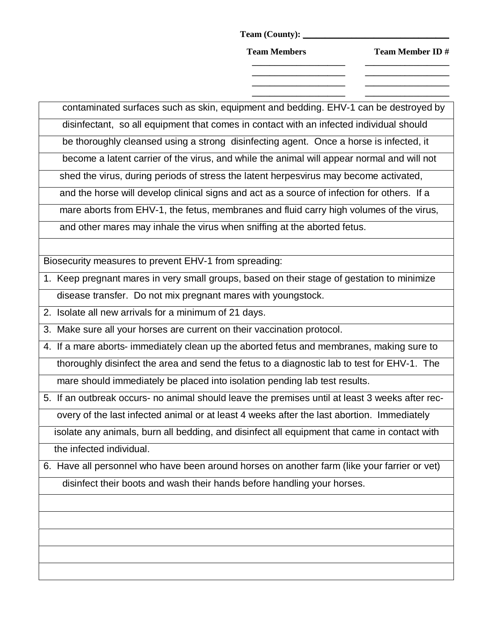**Team (County): \_\_\_\_\_\_\_\_\_\_\_\_\_\_\_\_\_\_\_\_\_\_\_\_\_\_\_\_\_\_\_\_\_**

Team Members Team Member ID #

**\_\_\_\_\_\_\_\_\_\_\_\_\_\_\_\_\_\_\_\_\_ \_\_\_\_\_\_\_\_\_\_\_\_\_\_\_\_\_\_\_ \_\_\_\_\_\_\_\_\_\_\_\_\_\_\_\_\_\_\_\_\_ \_\_\_\_\_\_\_\_\_\_\_\_\_\_\_\_\_\_\_ \_\_\_\_\_\_\_\_\_\_\_\_\_\_\_\_\_\_\_\_\_ \_\_\_\_\_\_\_\_\_\_\_\_\_\_\_\_\_\_\_ \_\_\_\_\_\_\_\_\_\_\_\_\_\_\_\_\_\_\_\_\_ \_\_\_\_\_\_\_\_\_\_\_\_\_\_\_\_\_\_\_** 

contaminated surfaces such as skin, equipment and bedding. EHV-1 can be destroyed by

 disinfectant, so all equipment that comes in contact with an infected individual should be thoroughly cleansed using a strong disinfecting agent. Once a horse is infected, it

become a latent carrier of the virus, and while the animal will appear normal and will not

shed the virus, during periods of stress the latent herpesvirus may become activated,

and the horse will develop clinical signs and act as a source of infection for others. If a

mare aborts from EHV-1, the fetus, membranes and fluid carry high volumes of the virus,

and other mares may inhale the virus when sniffing at the aborted fetus.

Biosecurity measures to prevent EHV-1 from spreading:

1. Keep pregnant mares in very small groups, based on their stage of gestation to minimize disease transfer. Do not mix pregnant mares with youngstock.

2. Isolate all new arrivals for a minimum of 21 days.

3. Make sure all your horses are current on their vaccination protocol.

4. If a mare aborts- immediately clean up the aborted fetus and membranes, making sure to thoroughly disinfect the area and send the fetus to a diagnostic lab to test for EHV-1. The

mare should immediately be placed into isolation pending lab test results.

5. If an outbreak occurs- no animal should leave the premises until at least 3 weeks after rec overy of the last infected animal or at least 4 weeks after the last abortion. Immediately

 isolate any animals, burn all bedding, and disinfect all equipment that came in contact with the infected individual.

6. Have all personnel who have been around horses on another farm (like your farrier or vet) disinfect their boots and wash their hands before handling your horses.